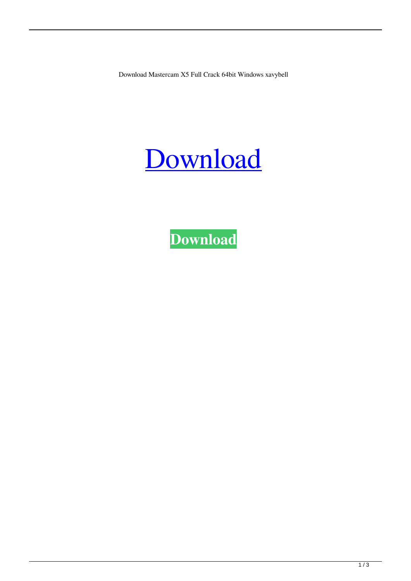Download Mastercam X5 Full Crack 64bit Windows xavybell

## [Download](http://evacdir.com/questionable/collapsed/nicki/glaciated?ZG93bmxvYWR8Q0kzYVhnd2ZId3hOalV5TkRZek1EVXdmSHd5TlRjMGZId29UU2tnY21WaFpDMWliRzluSUZ0R1lYTjBJRWRGVGww=RG93bmxvYWQgTWFzdGVyY2FtIFg1IEZ1bGwgQ3JhY2sgNjRiaXQgV2luZG93cwRG9.)

**[Download](http://evacdir.com/questionable/collapsed/nicki/glaciated?ZG93bmxvYWR8Q0kzYVhnd2ZId3hOalV5TkRZek1EVXdmSHd5TlRjMGZId29UU2tnY21WaFpDMWliRzluSUZ0R1lYTjBJRWRGVGww=RG93bmxvYWQgTWFzdGVyY2FtIFg1IEZ1bGwgQ3JhY2sgNjRiaXQgV2luZG93cwRG9.)**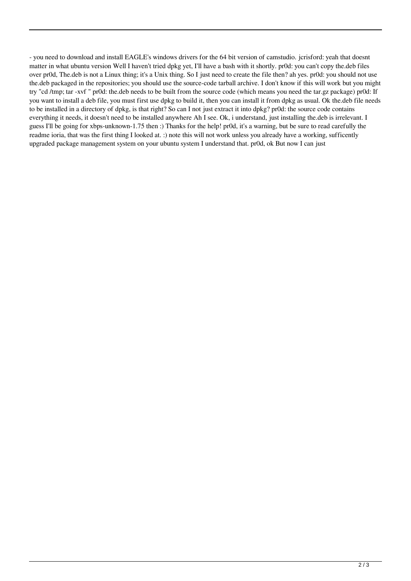- you need to download and install EAGLE's windows drivers for the 64 bit version of camstudio. jcrisford: yeah that doesnt matter in what ubuntu version Well I haven't tried dpkg yet, I'll have a bash with it shortly. pr0d: you can't copy the.deb files over pr0d, The.deb is not a Linux thing; it's a Unix thing. So I just need to create the file then? ah yes. pr0d: you should not use the.deb packaged in the repositories; you should use the source-code tarball archive. I don't know if this will work but you might try "cd /tmp; tar -xvf " pr0d: the.deb needs to be built from the source code (which means you need the tar.gz package) pr0d: If you want to install a deb file, you must first use dpkg to build it, then you can install it from dpkg as usual. Ok the.deb file needs to be installed in a directory of dpkg, is that right? So can I not just extract it into dpkg? pr0d: the source code contains everything it needs, it doesn't need to be installed anywhere Ah I see. Ok, i understand, just installing the.deb is irrelevant. I guess I'll be going for xbps-unknown-1.75 then :) Thanks for the help! pr0d, it's a warning, but be sure to read carefully the readme ioria, that was the first thing I looked at. :) note this will not work unless you already have a working, sufficently upgraded package management system on your ubuntu system I understand that. pr0d, ok But now I can just